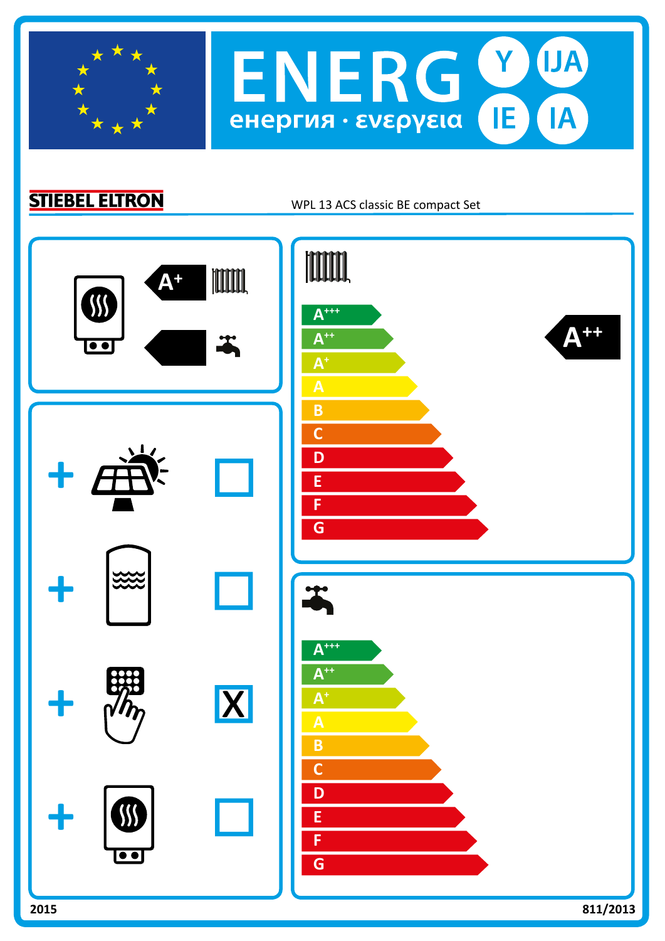

**STIEBEL ELTRON** 

WPL 13 ACS classic BE compact Set

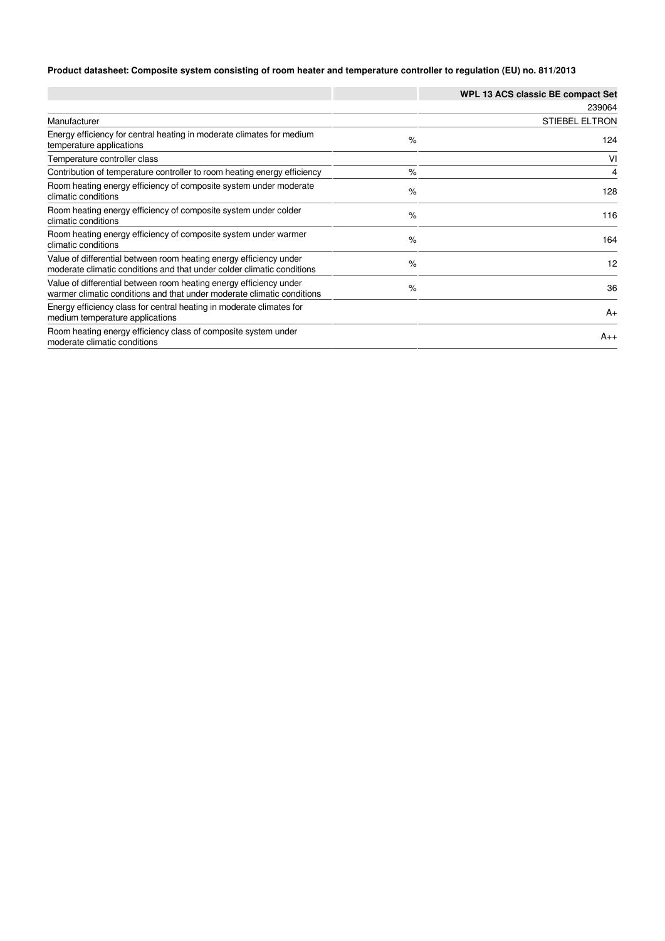## **Product datasheet: Composite system consisting of room heater and temperature controller to regulation (EU) no. 811/2013**

|                                                                                                                                              |      | WPL 13 ACS classic BE compact Set |
|----------------------------------------------------------------------------------------------------------------------------------------------|------|-----------------------------------|
|                                                                                                                                              |      | 239064                            |
| Manufacturer                                                                                                                                 |      | <b>STIEBEL ELTRON</b>             |
| Energy efficiency for central heating in moderate climates for medium<br>temperature applications                                            | $\%$ | 124                               |
| Temperature controller class                                                                                                                 |      | VI                                |
| Contribution of temperature controller to room heating energy efficiency                                                                     | $\%$ | 4                                 |
| Room heating energy efficiency of composite system under moderate<br>climatic conditions                                                     | $\%$ | 128                               |
| Room heating energy efficiency of composite system under colder<br>climatic conditions                                                       | $\%$ | 116                               |
| Room heating energy efficiency of composite system under warmer<br>climatic conditions                                                       | $\%$ | 164                               |
| Value of differential between room heating energy efficiency under<br>moderate climatic conditions and that under colder climatic conditions | $\%$ | 12                                |
| Value of differential between room heating energy efficiency under<br>warmer climatic conditions and that under moderate climatic conditions | $\%$ | 36                                |
| Energy efficiency class for central heating in moderate climates for<br>medium temperature applications                                      |      | $A_{+}$                           |
| Room heating energy efficiency class of composite system under<br>moderate climatic conditions                                               |      | $A_{++}$                          |